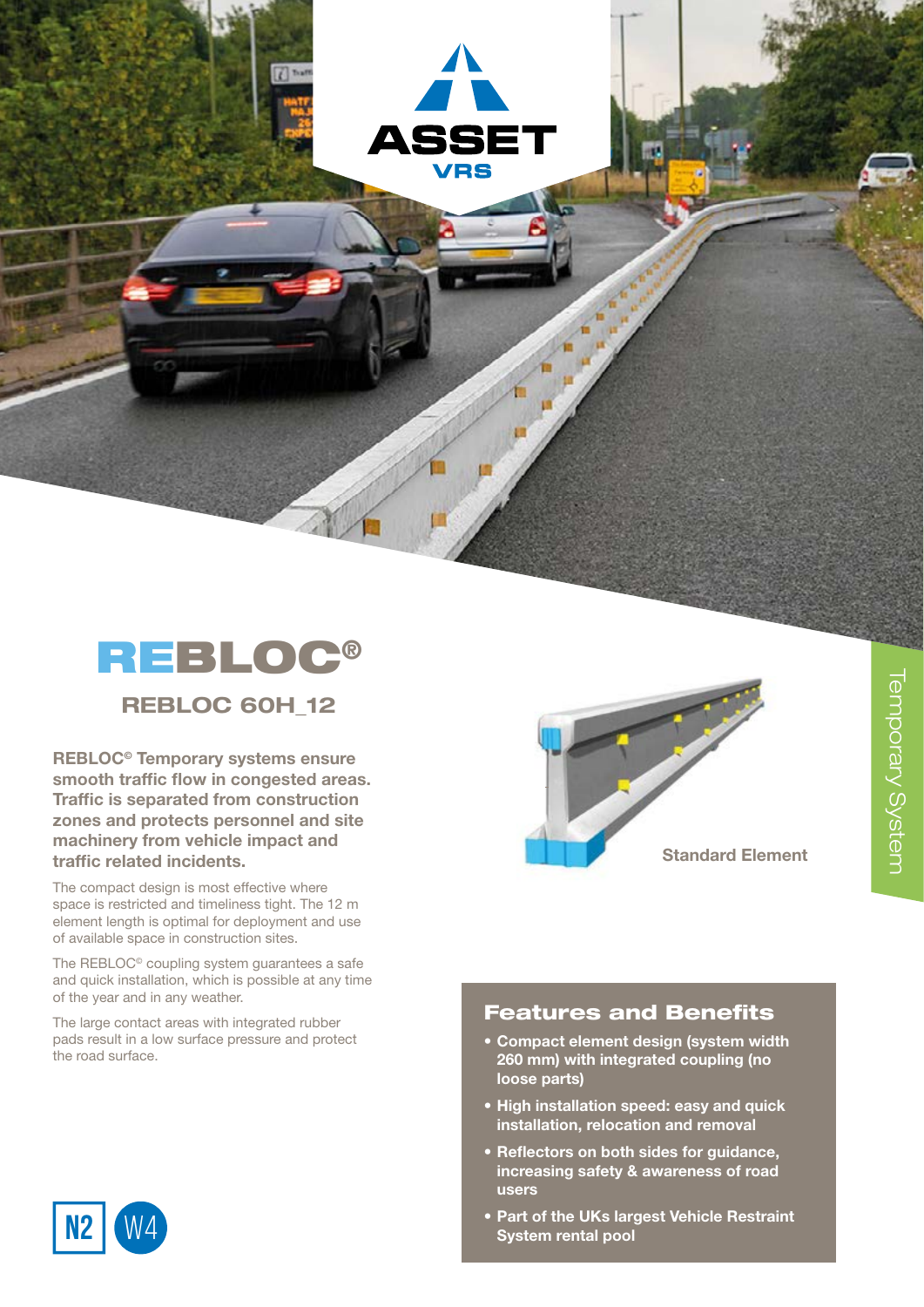REBLOC®

**ASSE7 VRS** 

REBLOC 60H\_12

REBLOC© Temporary systems ensure smooth traffic flow in congested areas. Traffic is separated from construction zones and protects personnel and site machinery from vehicle impact and traffic related incidents.

The compact design is most effective where space is restricted and timeliness tight. The 12 m element length is optimal for deployment and use of available space in construction sites.

The REBLOC© coupling system guarantees a safe and quick installation, which is possible at any time of the year and in any weather.

The large contact areas with integrated rubber pads result in a low surface pressure and protect the road surface.



## Features and Benefits

- Compact element design (system width 260 mm) with integrated coupling (no loose parts)
- High installation speed: easy and quick installation, relocation and removal
- Reflectors on both sides for guidance, increasing safety & awareness of road users
- Part of the UKs largest Vehicle Restraint System rental pool



of the year and in any weather.